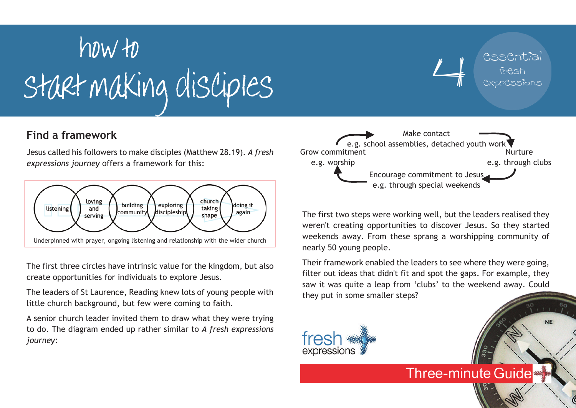# start making disciples how to

# **Find a framework**

Jesus called his followers to make disciples (Matthew 28.19). *A fresh expressions journey* offers a framework for this:



The first three circles have intrinsic value for the kingdom, but also create opportunities for individuals to explore Jesus.

The leaders of St Laurence, Reading knew lots of young people with little church background, but few were coming to faith.

A senior church leader invited them to draw what they were trying to do. The diagram ended up rather similar to *A fresh expressions journey*:



essential

fresh expressions

**NE** 

The first two steps were working well, but the leaders realised they weren't creating opportunities to discover Jesus. So they started weekends away. From these sprang a worshipping community of nearly 50 young people.

Their framework enabled the leaders to see where they were going, filter out ideas that didn't fit and spot the gaps. For example, they saw it was quite a leap from 'clubs' to the weekend away. Could they put in some smaller steps?

**Three-minute Guide**